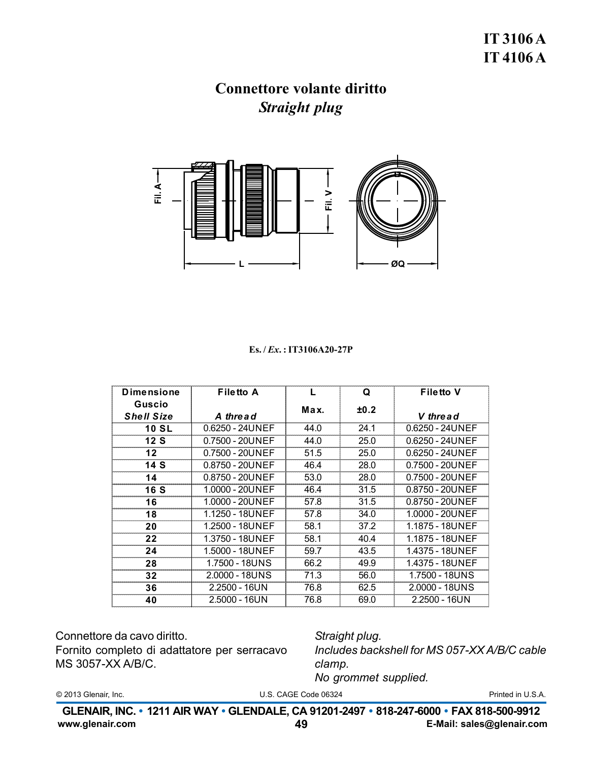

#### $Es. / Ex. : IT3106A20-27P$

| <b>Dimensione</b> | <b>Filetto A</b> | L    | Q    | <b>Filetto V</b>  |
|-------------------|------------------|------|------|-------------------|
| Guscio            |                  | Max. | ±0.2 |                   |
| <b>Shell Size</b> | A thread         |      |      | V thread          |
| <b>10 SL</b>      | 0.6250 - 24UNEF  | 44.0 | 24.1 | $0.6250 - 24UNEF$ |
| 12S               | 0.7500 - 20UNEF  | 44.0 | 25.0 | $0.6250 - 24UNEF$ |
| 12                | 0.7500 - 20UNEF  | 51.5 | 25.0 | 0.6250 - 24UNEF   |
| 14 S              | 0.8750 - 20UNEF  | 46.4 | 28.0 | 0.7500 - 20UNEF   |
| 14                | 0.8750 - 20UNEF  | 53.0 | 28.0 | 0.7500 - 20UNEF   |
| <b>16 S</b>       | 1.0000 - 20UNEF  | 46.4 | 31.5 | 0.8750 - 20UNEF   |
| 16                | 1.0000 - 20UNEF  | 57.8 | 31.5 | 0.8750 - 20UNEF   |
| 18                | 1.1250 - 18UNEF  | 57.8 | 34.0 | 1.0000 - 20UNEF   |
| 20                | 1.2500 - 18UNEF  | 58.1 | 37.2 | 1.1875 - 18UNEF   |
| 22                | 1.3750 - 18UNEF  | 58.1 | 40.4 | 1.1875 - 18UNEF   |
| 24                | 1.5000 - 18UNEF  | 59.7 | 43.5 | 1.4375 - 18UNEF   |
| 28                | 1.7500 - 18UNS   | 66.2 | 49.9 | 1.4375 - 18UNEF   |
| 32                | 2.0000 - 18UNS   | 71.3 | 56.0 | 1.7500 - 18UNS    |
| 36                | 2.2500 - 16UN    | 76.8 | 62.5 | 2.0000 - 18UNS    |
| 40                | 2.5000 - 16UN    | 76.8 | 69.0 | $2.2500 - 16UN$   |

Connettore da cavo diritto.

Fornito completo di adattatore per serracavo MS 3057-XX A/B/C.

Straight plug. Includes backshell for MS 057-XX A/B/C cable clamp. No grommet supplied.

© 2013 Glenair, Inc.

U.S. CAGE Code 06324

Printed in U.S.A.

GLENAIR, INC. • 1211 AIR WAY • GLENDALE, CA 91201-2497 • 818-247-6000 • FAX 818-500-9912 www.glenair.com 49 E-Mail: sales@glenair.com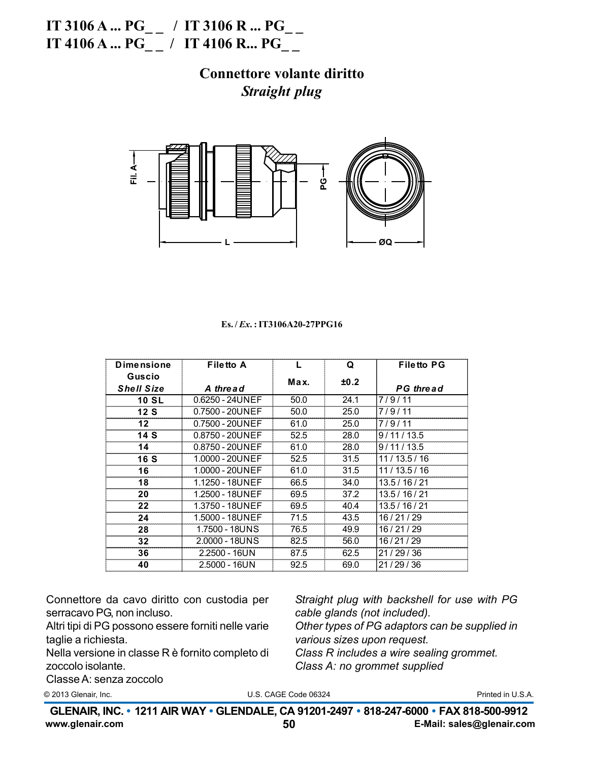IT 3106 A ...  $PG_{--}$  / IT 3106 R ...  $PG_{--}$ IT 4106 A ... PG\_ / IT 4106 R ... PG\_

### **Connettore volante diritto Straight plug**



#### Es./*Ex.*:IT3106A20-27PPG16

| <b>Dimensione</b>    | Filetto A         | L    | Q    | <b>Filetto PG</b> |
|----------------------|-------------------|------|------|-------------------|
| Guscio               |                   | Max. | ±0.2 |                   |
| <b>Shell Size</b>    | A thread          |      |      | <b>PG</b> thread  |
| <b>10 SL</b>         | $0.6250 - 24UNEF$ | 50.0 | 24.1 | 7/9/11            |
| 12S                  | 0.7500 - 20UNEF   | 50.0 | 25.0 | 7/9/11            |
| 12                   | 0.7500 - 20UNEF   | 61.0 | 25.0 | 7/9/11            |
| 14S                  | 0.8750 - 20UNEF   | 52.5 | 28.0 | 9/11/13.5         |
| 14                   | 0.8750 - 20UNEF   | 61.0 | 28.0 | 9/11/13.5         |
| <b>16 S</b>          | 1.0000 - 20UNEF   | 52.5 | 31.5 | 11/13.5/16        |
| 16                   | 1.0000 - 20UNEF   | 61.0 | 31.5 | 11/13.5/16        |
| 18                   | 1.1250 - 18UNEF   | 66.5 | 34.0 | 13.5/16/21        |
| 20                   | 1.2500 - 18UNEF   | 69.5 | 37.2 | 13.5/16/21        |
| 22                   | 1.3750 - 18UNEF   | 69.5 | 40.4 | 13.5/16/21        |
| 24                   | 1.5000 - 18UNEF   | 71.5 | 43.5 | 16/21/29          |
| 1.7500 - 18UNS<br>28 |                   | 76.5 | 49.9 | 16/21/29          |
| 32 <sub>2</sub>      | 2.0000 - 18UNS    | 82.5 | 56.0 | 16/21/29          |
| 36                   | $2.2500 - 16UN$   | 87.5 | 62.5 | 21/29/36          |
| 40                   | 2.5000 - 16UN     | 92.5 | 69.0 | 21/29/36          |

Connettore da cavo diritto con custodia per serracavo PG, non incluso.

Altri tipi di PG possono essere forniti nelle varie taglie a richiesta.

Nella versione in classe R è fornito completo di zoccolo isolante.

Classe A: senza zoccolo

Straight plug with backshell for use with PG cable glands (not included). Other types of PG adaptors can be supplied in various sizes upon request. Class R includes a wire sealing grommet. Class A: no grommet supplied

© 2013 Glenair, Inc.

U.S. CAGE Code 06324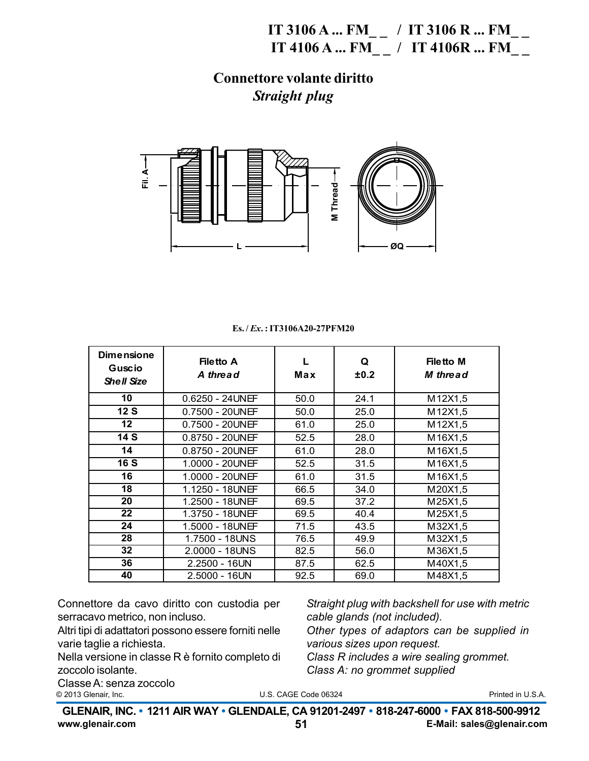**IT 3106 A ... FM\_ \_ / IT 3106 R ... FM\_ \_ IT 4106 A ... FM\_ \_ / IT 4106R ... FM\_ \_**

**Connettore volante diritto** *Straight plug*



|  | $Es. / Ex. : IT3106A20-27PFM20$ |  |
|--|---------------------------------|--|
|--|---------------------------------|--|

| <b>Dimensione</b><br>Guscio<br><b>Shell Size</b> | <b>Filetto A</b><br>A thread | L<br>Max | Q<br>±0.2 | <b>Filetto M</b><br><b>M</b> thread |
|--------------------------------------------------|------------------------------|----------|-----------|-------------------------------------|
| 10                                               | $0.6250 - 24$ UNEF           | 50.0     | 24.1      | M12X1,5                             |
| 12S                                              | 0.7500 - 20UNEF              | 50.0     | 25.0      | M12X1,5                             |
| $12 \,$                                          | $0.7500 - 20$ UNEF           | 61.0     | 25.0      | M12X1,5                             |
| 14 S                                             | $0.8750 - 20$ UNEF           | 52.5     | 28.0      | M16X1,5                             |
| 14                                               | $0.8750 - 20$ UNEF           | 61.0     | 28.0      | M16X1,5                             |
| <b>16 S</b>                                      | 1.0000 - 20UNEF              | 52.5     | 31.5      | M16X1,5                             |
| 16                                               | 1.0000 - 20UNEF              | 61.0     | 31.5      | M16X1,5                             |
| 18                                               | 1.1250 - 18UNEF              | 66.5     | 34.0      | M20X1,5                             |
| 20                                               | 1.2500 - 18UNEF              | 69.5     | 37.2      | M25X1,5                             |
| 22                                               | 1.3750 - 18UNEF              | 69.5     | 40.4      | M25X1,5                             |
| 24                                               | 1.5000 - 18UNEF              | 71.5     | 43.5      | M32X1,5                             |
| 28                                               | 1.7500 - 18UNS               | 76.5     | 49.9      | M32X1,5                             |
| 32                                               | 2.0000 - 18UNS               | 82.5     | 56.0      | M36X1,5                             |
| 36                                               | 2.2500 - 16UN                | 87.5     | 62.5      | M40X1,5                             |
| 40                                               | 2.5000 - 16UN                | 92.5     | 69.0      | M48X1,5                             |

Connettore da cavo diritto con custodia per serracavo metrico, non incluso.

Altri tipi di adattatori possono essere forniti nelle varie taglie a richiesta.

Nella versione in classe R è fornito completo di zoccolo isolante.

*Straight plug with backshell for use with metric cable glands (not included). Other types of adaptors can be supplied in various sizes upon request. Class R includes a wire sealing grommet. Class A: no grommet supplied*

U.S. CAGE Code 06324 © 2013 Glenair, Inc. Printed in U.S.A. U.S. CAGE Code 06324 O.S. CAGE CODE 00324 Printed in O.S.A. Printed in O.S.A. Classe A: senza zoccolo<br>© 2013 Glenair, Inc.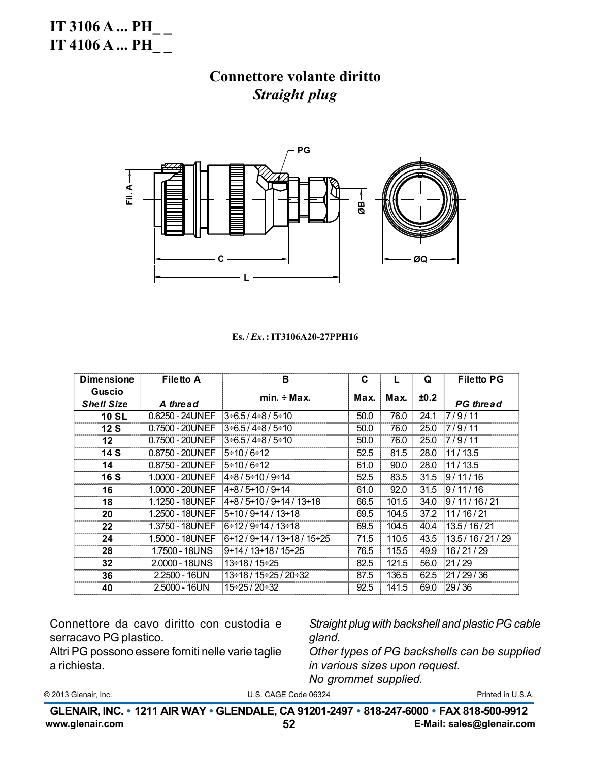**IT 3106 A ... PH** IT 4106 A ... PH

## **Connettore volante diritto Straight plug**



#### Es./*Ex.*: IT3106A20-27PPH16

| <b>Dimensione</b>                  | Filetto A       | в                                    | C    |       | Q    | <b>Filetto PG</b>   |
|------------------------------------|-----------------|--------------------------------------|------|-------|------|---------------------|
| <b>Guscio</b><br><b>Shell Size</b> | A thread        | $min. \div Max.$                     | Max. | Max.  | ±0.2 | <b>PG</b> thread    |
| <b>10 SL</b>                       | 0.6250 - 24UNEF | $3 + 6.5 / 4 + 8 / 5 + 10$           | 50.0 | 76.0  | 24.1 | 7/9/11              |
| 12S                                | 0.7500 - 20UNEF | $3 + 6.5 / 4 + 8 / 5 + 10$           | 50.0 | 76.0  | 25.0 | 7/9/11              |
| $12 \,$                            | 0.7500 - 20UNEF | $3 + 6.5 / 4 + 8 / 5 + 10$           | 50.0 | 76.0  | 25.0 | 7/9/11              |
| 14 S                               | 0.8750 - 20UNEF | $5 \div 10 / 6 \div 12$              | 52.5 | 81.5  | 28.0 | 11/13.5             |
| 14                                 | 0.8750 - 20UNEF | $5 \div 10 / 6 \div 12$              | 61.0 | 90.0  | 28.0 | 11/13.5             |
| <b>16 S</b>                        | 1.0000 - 20UNEF | $4+8/5+10/9+14$                      | 52.5 | 83.5  | 31.5 | 9/11/16             |
| 16                                 | 1.0000 - 20UNEF | l4÷8 / 5÷10 / 9÷14                   | 61.0 | 92.0  | 31.5 | 9/11/16             |
| 18                                 | 1.1250 - 18UNEF | l4÷8 / 5÷10 / 9÷14 / 13÷18           | 66.5 | 101.5 | 34.0 | 9/11/16/21          |
| 20                                 | 1.2500 - 18UNEF | $5 \div 10 / 9 \div 14 / 13 \div 18$ | 69.5 | 104.5 | 37.2 | 11/16/21            |
| 22                                 | 1.3750 - 18UNEF | 6÷12 / 9÷14 / 13÷18                  | 69.5 | 104.5 | 40.4 | 13.5 / 16 / 21      |
| 24                                 | 1.5000 - 18UNEF | 6÷12 / 9÷14 / 13÷18 / 15÷25          | 71.5 | 110.5 | 43.5 | 13.5 / 16 / 21 / 29 |
| 28                                 | 1.7500 - 18UNS  | 9÷14 / 13÷18 / 15÷25                 | 76.5 | 115.5 | 49.9 | 16/21/29            |
| 32                                 | 2,0000 - 18UNS  | 13÷18 / 15÷25                        | 82.5 | 121.5 | 56.0 | 21/29               |
| 36                                 | 2.2500 - 16UN   | 13÷18 / 15÷25 / 20÷32                | 87.5 | 136.5 | 62.5 | 21/29/36            |
| 40                                 | $2.5000 - 16UN$ | 15÷25 / 20÷32                        | 92.5 | 141.5 | 69.0 | 29/36               |

Connettore da cavo diritto con custodia e serracavo PG plastico.

Altri PG possono essere forniti nelle varie taglie a richiesta.

Straight plug with backshell and plastic PG cable gland.

Other types of PG backshells can be supplied in various sizes upon request. No grommet supplied.

© 2013 Glenair, Inc.

U.S. CAGE Code 06324

Printed in U.S.A.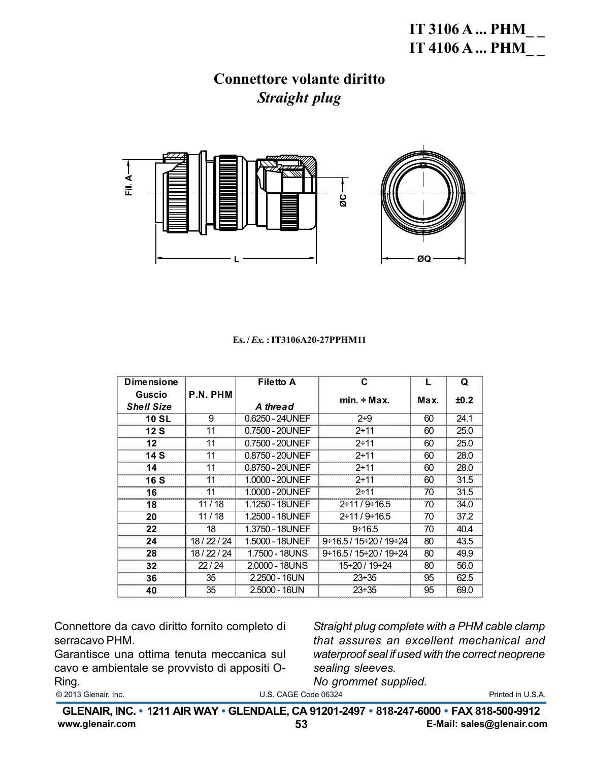

#### $Es. / Ex. : IT3106A20-27PPHM11$

| <b>Dimensione</b> |          | <b>Filetto A</b> | C                                       | L    | Q    |
|-------------------|----------|------------------|-----------------------------------------|------|------|
| Guscio            | P.N. PHM |                  | $min. \div Max.$                        | Max. | ±0.2 |
| <b>Shell Size</b> |          | A thread         |                                         |      |      |
| <b>10 SL</b>      | 9        | 0.6250 - 24UNEF  | $2 + 9$                                 | 60   | 24.1 |
| 12S               | 11       | 0.7500 - 20UNEF  | $2 + 11$                                | 60   | 25.0 |
| 12                | 11       | 0.7500 - 20UNEF  | $2 + 11$                                | 60   | 25.0 |
| 14 S              | 11       | 0.8750 - 20UNEF  | $2 + 11$                                | 60   | 28.0 |
| 14                | 11       | 0.8750 - 20UNEF  | $2 + 11$                                | 60   | 28.0 |
| <b>16 S</b>       | 11       | 1.0000 - 20UNEF  | $2 + 11$                                | 60   | 31.5 |
| 16                | 11       | 1.0000 - 20UNEF  | $2 + 11$                                | 70   | 31.5 |
| 18                | 11/18    | 1.1250 - 18UNEF  | $2 \div 11/9 \div 16.5$                 | 70   | 34.0 |
| 20                | 11/18    | 1.2500 - 18UNEF  | $2 \div 11/9 \div 16.5$                 | 70   | 37.2 |
| 22                | 18       | 1.3750 - 18UNEF  | $9 \div 16.5$                           | 70   | 40.4 |
| 24                | 18/22/24 | 1.5000 - 18UNEF  | $9 \div 16.5 / 15 \div 20 / 19 \div 24$ | 80   | 43.5 |
| 28                | 18/22/24 | 1.7500 - 18UNS   | 9÷16.5 / 15÷20 / 19÷24                  | 80   | 49.9 |
| 32                | 22/24    | 2.0000 - 18UNS   | 15÷20 / 19÷24                           | 80   | 56.0 |
| 36                | 35       | 2.2500 - 16UN    | $23 \div 35$                            | 95   | 62.5 |
| 40                | 35       | 2.5000 - 16UN    | $23 \div 35$                            | 95   | 69.0 |

Connettore da cavo diritto fornito completo di serracavo PHM.

Garantisce una ottima tenuta meccanica sul cavo e ambientale se provvisto di appositi O-Ring.

Straight plug complete with a PHM cable clamp that assures an excellent mechanical and waterproof seal if used with the correct neoprene sealing sleeves.

No grommet supplied.

© 2013 Glenair, Inc.

U.S. CAGE Code 06324

GLENAIR, INC. • 1211 AIR WAY • GLENDALE, CA 91201-2497 • 818-247-6000 • FAX 818-500-9912 www.glenair.com E-Mail: sales@glenair.com 53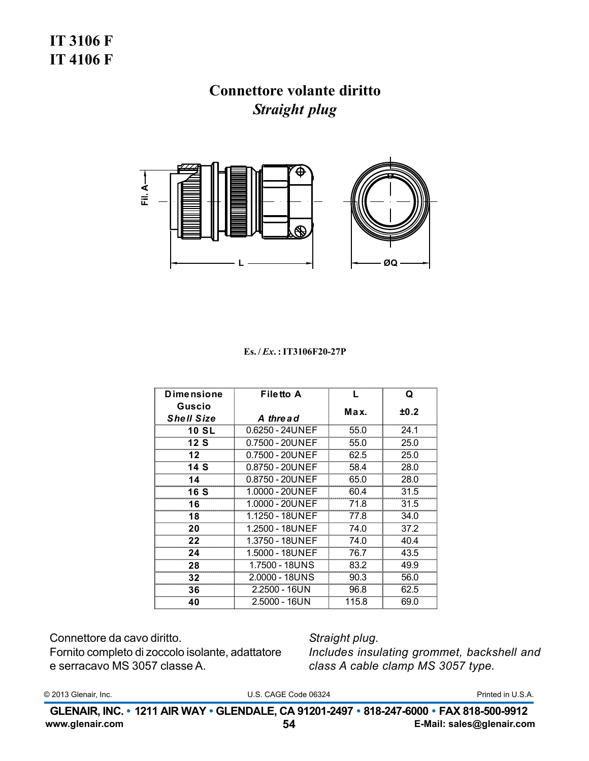## **IT 3106 F IT 4106 F**

# Connettore volante diritto **Straight plug**



#### Es./Ex.: IT3106F20-27P

| <b>Dimensione</b> | <b>Filetto A</b>   | L     | Q    |
|-------------------|--------------------|-------|------|
| Guscio            |                    | Max.  | ±0.2 |
| <b>Shell Size</b> | A thread           |       |      |
| <b>10 SL</b>      | $0.6250 - 24UNEF$  | 55.0  | 24.1 |
| 12S               | $0.7500 - 20$ UNEF | 55.0  | 25.0 |
| 12 <sub>1</sub>   | 0.7500 - 20UNEF    | 62.5  | 25.0 |
| 14 S              | $0.8750 - 20$ UNEF | 58.4  | 28.0 |
| 14                | 0.8750 - 20UNEF    | 65.0  | 28.0 |
| 16 S              | 1.0000 - 20UNEF    | 60.4  | 31.5 |
| 16                | 1.0000 - 20UNEF    | 71.8  | 31.5 |
| 18                | 1.1250 - 18UNEF    | 77.8  | 34.0 |
| 20                | 1.2500 - 18UNEF    | 74.0  | 37.2 |
| 22                | 1.3750 - 18UNEF    | 74.0  | 40.4 |
| 24                | 1.5000 - 18UNEF    | 76.7  | 43.5 |
| 28                | 1.7500 - 18UNS     | 83.2  | 49.9 |
| 32                | 2.0000 - 18UNS     | 90.3  | 56.0 |
| 36                | 2.2500 - 16UN      | 96.8  | 62.5 |
| 40                | 2.5000 - 16UN      | 115.8 | 69.0 |

Connettore da cavo diritto. Fornito completo di zoccolo isolante, adattatore e serracavo MS 3057 classe A.

Straight plug. Includes insulating grommet, backshell and class A cable clamp MS 3057 type.

© 2013 Glenair, Inc.

U.S. CAGE Code 06324

Printed in U.S.A.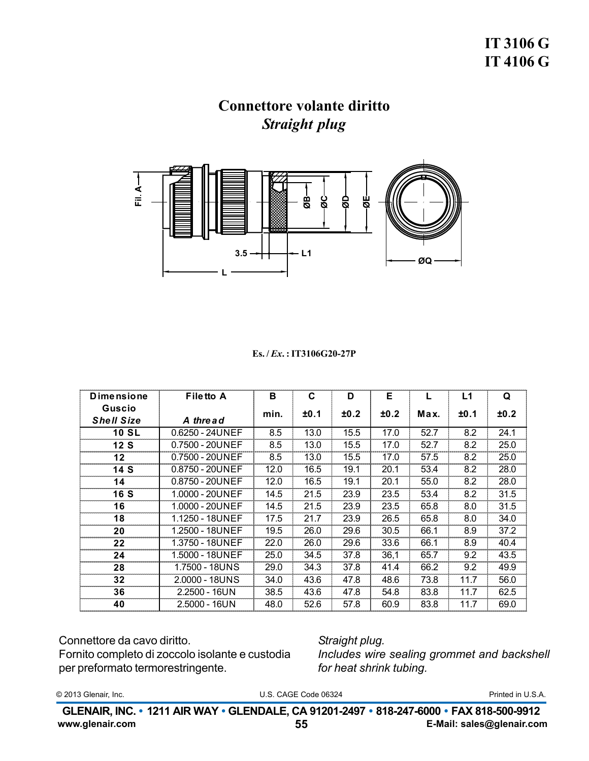

#### $Es. / Ex. : IT3106G20-27P$

| <b>Dimensione</b> | <b>Filetto A</b>  | в    | C    | D    | Е    |      | L1   | Q    |
|-------------------|-------------------|------|------|------|------|------|------|------|
| Guscio            |                   | min. | ±0.1 | ±0.2 | ±0.2 | Max. | ±0.1 | ±0.2 |
| <b>Shell Size</b> | A thread          |      |      |      |      |      |      |      |
| <b>10 SL</b>      | $0.6250 - 24UNEF$ | 8.5  | 13.0 | 15.5 | 17.0 | 52.7 | 8.2  | 24.1 |
| 12 S              | 0.7500 - 20UNEF   | 8.5  | 13.0 | 15.5 | 17.0 | 52.7 | 8.2  | 25.0 |
| 12                | 0.7500 - 20UNEF   | 8.5  | 13.0 | 15.5 | 17.0 | 57.5 | 8.2  | 25.0 |
| 14 S              | 0.8750 - 20UNEF   | 12.0 | 16.5 | 19.1 | 20.1 | 53.4 | 8.2  | 28.0 |
| 14                | 0.8750 - 20UNEF   | 12.0 | 16.5 | 19.1 | 20.1 | 55.0 | 8.2  | 28.0 |
| <b>16 S</b>       | 1.0000 - 20UNEF   | 14.5 | 21.5 | 23.9 | 23.5 | 53.4 | 8.2  | 31.5 |
| 16                | 1.0000 - 20UNEF   | 14.5 | 21.5 | 23.9 | 23.5 | 65.8 | 8.0  | 31.5 |
| 18                | 1.1250 - 18UNEF   | 17.5 | 21.7 | 23.9 | 26.5 | 65.8 | 8.0  | 34.0 |
| 20                | 1.2500 - 18UNEF   | 19.5 | 26.0 | 29.6 | 30.5 | 66.1 | 8.9  | 37.2 |
| 22                | 1.3750 - 18UNEF   | 22.0 | 26.0 | 29.6 | 33.6 | 66.1 | 8.9  | 40.4 |
| 24                | 1.5000 - 18UNEF   | 25.0 | 34.5 | 37.8 | 36,1 | 65.7 | 9.2  | 43.5 |
| 28                | 1.7500 - 18UNS    | 29.0 | 34.3 | 37.8 | 41.4 | 66.2 | 9.2  | 49.9 |
| 32                | 2.0000 - 18UNS    | 34.0 | 43.6 | 47.8 | 48.6 | 73.8 | 11.7 | 56.0 |
| 36                | $2.2500 - 16UN$   | 38.5 | 43.6 | 47.8 | 54.8 | 83.8 | 11.7 | 62.5 |
| 40                | 2.5000 - 16UN     | 48.0 | 52.6 | 57.8 | 60.9 | 83.8 | 11.7 | 69.0 |

Connettore da cavo diritto.

Fornito completo di zoccolo isolante e custodia per preformato termorestringente.

Straight plug. Includes wire sealing grommet and backshell for heat shrink tubing.

© 2013 Glenair, Inc.

U.S. CAGE Code 06324

Printed in U.S.A.

GLENAIR, INC. • 1211 AIR WAY • GLENDALE, CA 91201-2497 • 818-247-6000 • FAX 818-500-9912 www.glenair.com E-Mail: sales@glenair.com 55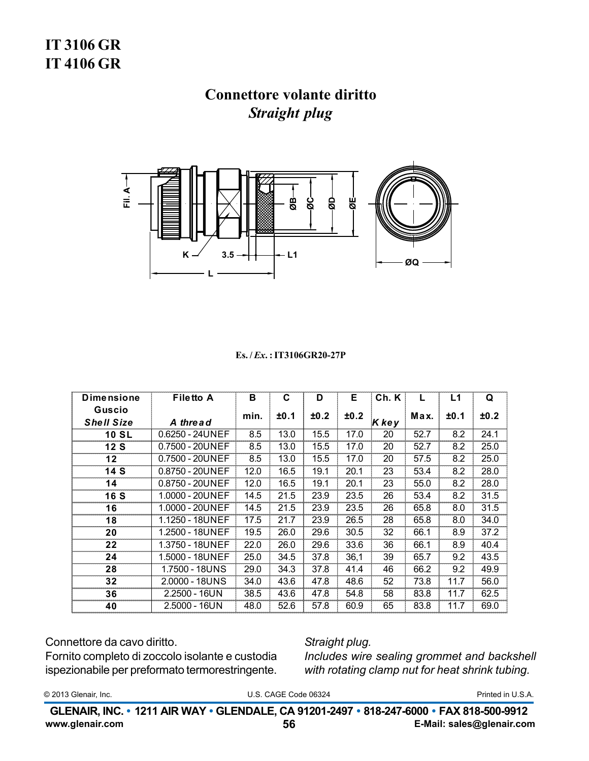# **IT 3106 GR IT4106 GR**

## **Connettore volante diritto Straight plug**



#### Es./*Ex.*: IT3106GR20-27P

| <b>Dimensione</b>           | <b>Filetto A</b>  | в    | С    | D    | Е    | Ch. K |      | L1   | Q    |
|-----------------------------|-------------------|------|------|------|------|-------|------|------|------|
| Guscio<br><b>Shell Size</b> | A thread          | min. | ±0.1 | ±0.2 | ±0.2 | Kkey  | Max. | ±0.1 | ±0.2 |
| <b>10 SL</b>                | $0.6250 - 24UNEF$ | 8.5  | 13.0 | 15.5 | 17.0 | 20    | 52.7 | 8.2  | 24.1 |
| 12S                         | 0.7500 - 20UNEF   | 8.5  | 13.0 | 15.5 | 17.0 | 20    | 52.7 | 8.2  | 25.0 |
| 12                          | 0.7500 - 20UNEF   | 8.5  | 13.0 | 15.5 | 17.0 | 20    | 57.5 | 8.2  | 25.0 |
| 14 S                        | 0.8750 - 20UNEF   | 12.0 | 16.5 | 19.1 | 20.1 | 23    | 53.4 | 8.2  | 28.0 |
| 14                          | 0.8750 - 20UNEF   | 12.0 | 16.5 | 19.1 | 20.1 | 23    | 55.0 | 8.2  | 28.0 |
| 16 S                        | 1.0000 - 20UNEF   | 14.5 | 21.5 | 23.9 | 23.5 | 26    | 53.4 | 8.2  | 31.5 |
| 16                          | 1.0000 - 20UNEF   | 14.5 | 21.5 | 23.9 | 23.5 | 26    | 65.8 | 8.0  | 31.5 |
| 18                          | 1.1250 - 18UNEF   | 17.5 | 21.7 | 23.9 | 26.5 | 28    | 65.8 | 8.0  | 34.0 |
| 20                          | 1.2500 - 18UNEF   | 19.5 | 26.0 | 29.6 | 30.5 | 32    | 66.1 | 8.9  | 37.2 |
| 22                          | 1.3750 - 18UNEF   | 22.0 | 26.0 | 29.6 | 33.6 | 36    | 66.1 | 8.9  | 40.4 |
| 24                          | 1.5000 - 18UNEF   | 25.0 | 34.5 | 37.8 | 36,1 | 39    | 65.7 | 9.2  | 43.5 |
| 28                          | 1.7500 - 18UNS    | 29.0 | 34.3 | 37.8 | 41.4 | 46    | 66.2 | 9.2  | 49.9 |
| 32                          | 2.0000 - 18UNS    | 34.0 | 43.6 | 47.8 | 48.6 | 52    | 73.8 | 11.7 | 56.0 |
| 36                          | 2.2500 - 16UN     | 38.5 | 43.6 | 47.8 | 54.8 | 58    | 83.8 | 11.7 | 62.5 |
| 40                          | 2.5000 - 16UN     | 48.0 | 52.6 | 57.8 | 60.9 | 65    | 83.8 | 11.7 | 69.0 |

Connettore da cavo diritto.

Fornito completo di zoccolo isolante e custodia ispezionabile per preformato termorestringente.

Straight plug. Includes wire sealing grommet and backshell with rotating clamp nut for heat shrink tubing.

© 2013 Glenair, Inc.

U.S. CAGE Code 06324

Printed in U.S.A.

GLENAIR, INC. • 1211 AIR WAY • GLENDALE, CA 91201-2497 • 818-247-6000 • FAX 818-500-9912 www.glenair.com E-Mail: sales@glenair.com 56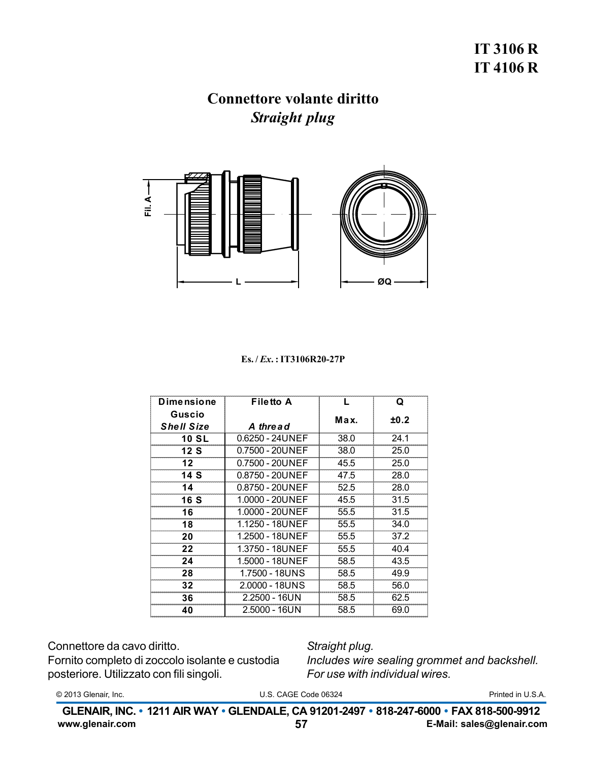## **IT 3106 R IT 4106 R**

### **Connettore volante diritto Straight plug**



#### $Es. / Ex. : IT3106R20-27P$

| <b>Dimensione</b>           | <b>Filetto A</b> | L    | Q    |
|-----------------------------|------------------|------|------|
| Guscio<br><b>Shell Size</b> | A thread         | Max. | ±0.2 |
| <b>10 SL</b>                | 0.6250 - 24UNEF  | 38.0 | 24.1 |
| 12 S                        | 0.7500 - 20UNEF  | 38.0 | 25.0 |
| 12                          | 0.7500 - 20UNEF  | 45.5 | 25.0 |
| 14 S                        | 0.8750 - 20UNEF  | 47.5 | 28.0 |
| 14                          | 0.8750 - 20UNEF  | 52.5 | 28.0 |
| 16 S                        | 1.0000 - 20UNEF  | 45.5 | 31.5 |
| 16                          | 1.0000 - 20UNEF  | 55.5 | 31.5 |
| 18                          | 1.1250 - 18UNEF  | 55.5 | 34.0 |
| 20                          | 1.2500 - 18UNEF  | 55.5 | 37.2 |
| 22                          | 1.3750 - 18UNEF  | 55.5 | 40.4 |
| 24                          | 1.5000 - 18UNEF  | 58.5 | 43.5 |
| 28                          | 1.7500 - 18UNS   | 58.5 | 49.9 |
| 32                          | 2.0000 - 18UNS   |      | 56.0 |
| 36                          | 2.2500 - 16UN    | 58.5 | 62.5 |
| 40                          | 2.5000 - 16UN    | 58.5 | 69.0 |

Connettore da cavo diritto.

Fornito completo di zoccolo isolante e custodia posteriore. Utilizzato con fili singoli.

Straight plug.

Includes wire sealing grommet and backshell. For use with individual wires.

© 2013 Glenair, Inc.

U.S. CAGE Code 06324

Printed in U.S.A.

GLENAIR, INC. • 1211 AIR WAY • GLENDALE, CA 91201-2497 • 818-247-6000 • FAX 818-500-9912 www.glenair.com 57 E-Mail: sales@glenair.com